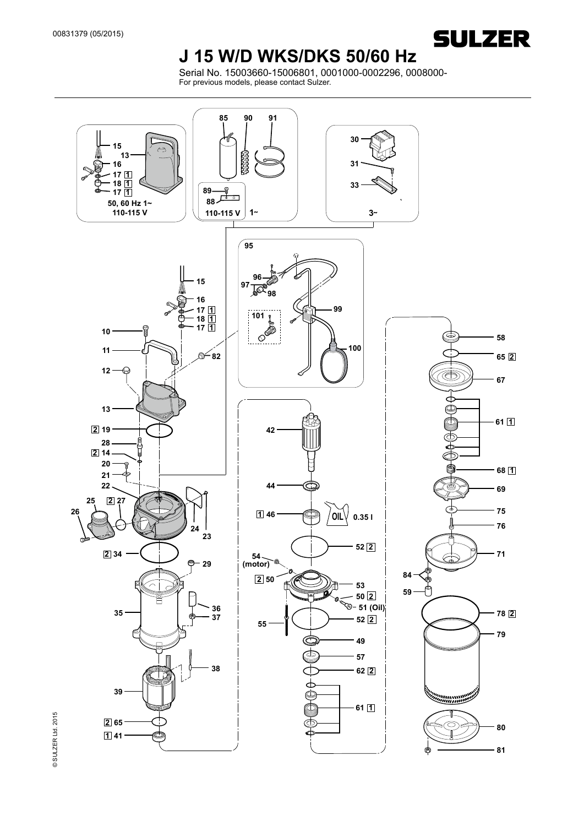

### **J 15 W/D WKS/DKS 50/60 Hz**

Serial No. 15003660-15006801, 0001000-0002296, 0008000- For previous models, please contact Sulzer.

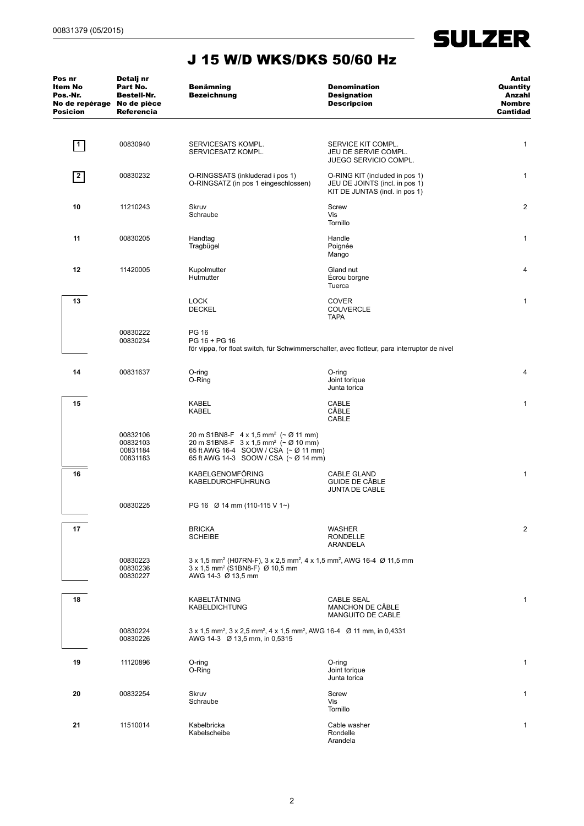

 $\overline{\phantom{a}}$ 

| Pos nr<br>Item No<br>Pos.-Nr.<br>No de repérage No de pièce<br><b>Posicion</b> | Detalj nr<br>Part No.<br><b>Bestell-Nr.</b><br><b>Referencia</b>                                                                                      | <b>Benämning</b><br><b>Bezeichnung</b>                                                                                                                                                                                           | <b>Denomination</b><br><b>Designation</b><br><b>Descripcion</b>                                    | Antal<br>Quantity<br>Anzahl<br><b>Nombre</b><br>Cantidad |
|--------------------------------------------------------------------------------|-------------------------------------------------------------------------------------------------------------------------------------------------------|----------------------------------------------------------------------------------------------------------------------------------------------------------------------------------------------------------------------------------|----------------------------------------------------------------------------------------------------|----------------------------------------------------------|
| $\vert$ 1                                                                      | 00830940                                                                                                                                              | SERVICESATS KOMPL.<br>SERVICESATZ KOMPL.                                                                                                                                                                                         | SERVICE KIT COMPL.<br>JEU DE SERVIE COMPL.<br><b>JUEGO SERVICIO COMPL.</b>                         | $\mathbf{1}$                                             |
| 2                                                                              | 00830232                                                                                                                                              | O-RINGSSATS (inkluderad i pos 1)<br>O-RINGSATZ (in pos 1 eingeschlossen)                                                                                                                                                         | O-RING KIT (included in pos 1)<br>JEU DE JOINTS (incl. in pos 1)<br>KIT DE JUNTAS (incl. in pos 1) | $\mathbf{1}$                                             |
| 10                                                                             | 11210243                                                                                                                                              | <b>Skruv</b><br>Schraube                                                                                                                                                                                                         | Screw<br>Vis<br>Tornillo                                                                           | 2                                                        |
| 11                                                                             | 00830205                                                                                                                                              | Handtag<br>Tragbügel                                                                                                                                                                                                             | Handle<br>Poignée<br>Mango                                                                         | $\mathbf{1}$                                             |
| 12                                                                             | 11420005                                                                                                                                              | Kupolmutter<br>Hutmutter                                                                                                                                                                                                         | Gland nut<br>Écrou borgne<br>Tuerca                                                                | 4                                                        |
| 13                                                                             |                                                                                                                                                       | <b>LOCK</b><br><b>DECKEL</b>                                                                                                                                                                                                     | <b>COVER</b><br><b>COUVERCLE</b><br><b>TAPA</b>                                                    | 1                                                        |
|                                                                                | <b>PG 16</b><br>00830222<br>00830234<br>PG 16 + PG 16<br>för vippa, for float switch, für Schwimmerschalter, avec flotteur, para interruptor de nivel |                                                                                                                                                                                                                                  |                                                                                                    |                                                          |
| 14                                                                             | 00831637                                                                                                                                              | $O$ -ring<br>O-Ring                                                                                                                                                                                                              | O-ring<br>Joint torique<br>Junta torica                                                            | 4                                                        |
| 15                                                                             |                                                                                                                                                       | <b>KABEL</b><br><b>KABEL</b>                                                                                                                                                                                                     | CABLE<br>CÂBLE<br>CABLE                                                                            | $\mathbf{1}$                                             |
|                                                                                | 00832106<br>00832103<br>00831184<br>00831183                                                                                                          | 20 m S1BN8-F $4 \times 1,5$ mm <sup>2</sup> ( $\sim \emptyset$ 11 mm)<br>20 m S1BN8-F $3 \times 1,5$ mm <sup>2</sup> ( $\sim \emptyset$ 10 mm)<br>65 ft AWG 16-4 SOOW / CSA (~ Ø 11 mm)<br>65 ft AWG 14-3 SOOW / CSA (~ Ø 14 mm) |                                                                                                    |                                                          |
| 16                                                                             |                                                                                                                                                       | <b>KABELGENOMFÖRING</b><br>KABELDURCHFÜHRUNG                                                                                                                                                                                     | <b>CABLE GLAND</b><br>GUIDE DE CABLE<br>JUNTA DE CABLE                                             | 1                                                        |
|                                                                                | 00830225                                                                                                                                              | PG 16 Ø 14 mm (110-115 V 1~)                                                                                                                                                                                                     |                                                                                                    |                                                          |
| 17                                                                             |                                                                                                                                                       | <b>BRICKA</b><br><b>SCHEIBE</b>                                                                                                                                                                                                  | WASHER<br>RONDELLE<br>ARANDELA                                                                     | 2                                                        |
|                                                                                | 00830223<br>00830236<br>00830227                                                                                                                      | $3 \times 1.5$ mm <sup>2</sup> (H07RN-F), $3 \times 2.5$ mm <sup>2</sup> , $4 \times 1.5$ mm <sup>2</sup> , AWG 16-4 $\varnothing$ 11.5 mm<br>3 x 1,5 mm <sup>2</sup> (S1BN8-F) Ø 10,5 mm<br>AWG 14-3 Ø 13,5 mm                  |                                                                                                    |                                                          |
| 18                                                                             |                                                                                                                                                       | KABELTÄTNING<br><b>KABELDICHTUNG</b>                                                                                                                                                                                             | CABLE SEAL<br>MANCHON DE CÂBLE<br>MANGUITO DE CABLE                                                | $\mathbf{1}$                                             |
|                                                                                | 00830224<br>00830226                                                                                                                                  | 3 x 1,5 mm <sup>2</sup> , 3 x 2,5 mm <sup>2</sup> , 4 x 1,5 mm <sup>2</sup> , AWG 16-4 Ø 11 mm, in 0,4331<br>AWG 14-3 Ø 13,5 mm, in 0,5315                                                                                       |                                                                                                    |                                                          |
| 19                                                                             | 11120896                                                                                                                                              | $O$ -ring<br>O-Ring                                                                                                                                                                                                              | O-ring<br>Joint torique<br>Junta torica                                                            | $\mathbf{1}$                                             |
| 20                                                                             | 00832254                                                                                                                                              | Skruv<br>Schraube                                                                                                                                                                                                                | Screw<br>Vis<br>Tornillo                                                                           | 1                                                        |
| 21                                                                             | 11510014                                                                                                                                              | Kabelbricka<br>Kabelscheibe                                                                                                                                                                                                      | Cable washer<br>Rondelle<br>Arandela                                                               | $\mathbf{1}$                                             |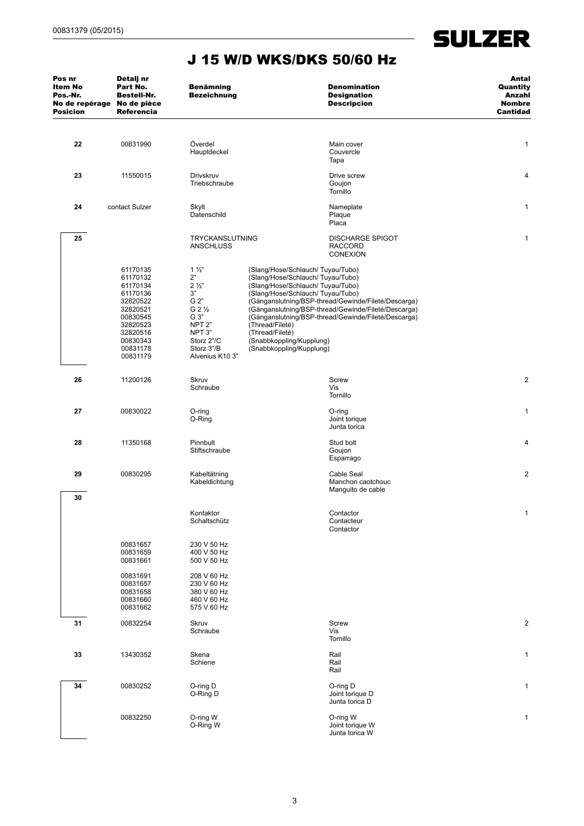$\sim$ 

| Pos nr<br>Item No<br>Pos.-Nr.<br>No de repérage No de pièce<br><b>Posicion</b> | Detalj nr<br>Part No.<br><b>Bestell-Nr.</b><br><b>Referencia</b>                                                                             | <b>Benämning</b><br><b>Bezeichnung</b>                                                                                                                                                       |                                                                                                                                                                                                                                            | <b>Denomination</b><br><b>Designation</b><br><b>Descripcion</b>                                                                                                   | Antal<br>Quantity<br>Anzahl<br><b>Nombre</b><br>Cantidad |
|--------------------------------------------------------------------------------|----------------------------------------------------------------------------------------------------------------------------------------------|----------------------------------------------------------------------------------------------------------------------------------------------------------------------------------------------|--------------------------------------------------------------------------------------------------------------------------------------------------------------------------------------------------------------------------------------------|-------------------------------------------------------------------------------------------------------------------------------------------------------------------|----------------------------------------------------------|
| 22                                                                             | 00831990                                                                                                                                     | Överdel<br>Hauptdeckel                                                                                                                                                                       |                                                                                                                                                                                                                                            | Main cover<br>Couvercle<br>Tapa                                                                                                                                   | 1                                                        |
| 23                                                                             | 11550015                                                                                                                                     | Drivskruv<br>Triebschraube                                                                                                                                                                   |                                                                                                                                                                                                                                            | Drive screw<br>Goujon<br>Tornillo                                                                                                                                 | 4                                                        |
| 24                                                                             | contact Sulzer                                                                                                                               | Skylt<br>Datenschild                                                                                                                                                                         |                                                                                                                                                                                                                                            | Nameplate<br>Plaque<br>Placa                                                                                                                                      | 1                                                        |
| 25                                                                             |                                                                                                                                              | TRYCKANSLUTNING<br><b>ANSCHLUSS</b>                                                                                                                                                          |                                                                                                                                                                                                                                            | <b>DISCHARGE SPIGOT</b><br><b>RACCORD</b><br><b>CONEXION</b>                                                                                                      | 1                                                        |
|                                                                                | 61170135<br>61170132<br>61170134<br>61170136<br>32820522<br>32820521<br>00830545<br>32820523<br>32820516<br>00830343<br>00831178<br>00831179 | $1\frac{1}{2}$<br>2"<br>$2\frac{1}{2}$<br>$3"$<br>G 2"<br>G 2 <sup>1</sup> / <sub>2</sub><br>G 3"<br>NPT <sub>2</sub> "<br>NPT <sub>3</sub> "<br>Storz 2"/C<br>Storz 3"/B<br>Alvenius K10 3" | (Slang/Hose/Schlauch/Tuyau/Tubo)<br>(Slang/Hose/Schlauch/Tuyau/Tubo)<br>(Slang/Hose/Schlauch/Tuyau/Tubo)<br>(Slang/Hose/Schlauch/Tuyau/Tubo)<br>(Thread/Fileté)<br>(Thread/Fileté)<br>(Snabbkoppling/Kupplung)<br>(Snabbkoppling/Kupplung) | (Gänganslutning/BSP-thread/Gewinde/Fileté/Descarga)<br>(Gänganslutning/BSP-thread/Gewinde/Fileté/Descarga)<br>(Gänganslutning/BSP-thread/Gewinde/Fileté/Descarga) |                                                          |
| 26                                                                             | 11200126                                                                                                                                     | Skruv<br>Schraube                                                                                                                                                                            |                                                                                                                                                                                                                                            | Screw<br>Vis<br>Tornillo                                                                                                                                          | $\overline{\mathbf{c}}$                                  |
| 27                                                                             | 00830022                                                                                                                                     | $O$ -ring<br>O-Ring                                                                                                                                                                          |                                                                                                                                                                                                                                            | O-ring<br>Joint torique<br>Junta torica                                                                                                                           | 1                                                        |
| 28                                                                             | 11350168                                                                                                                                     | Pinnbult<br>Stiftschraube                                                                                                                                                                    |                                                                                                                                                                                                                                            | Stud bolt<br>Goujon<br>Esparrago                                                                                                                                  | 4                                                        |
| 29                                                                             | 00830295                                                                                                                                     | Kabeltätning<br>Kabeldichtung                                                                                                                                                                |                                                                                                                                                                                                                                            | Cable Seal<br>Manchon caotchouc<br>Manguito de cable                                                                                                              | $\overline{c}$                                           |
| 30                                                                             |                                                                                                                                              | Kontaktor<br>Schaltschütz                                                                                                                                                                    |                                                                                                                                                                                                                                            | Contactor<br>Contacteur<br>Contactor                                                                                                                              | 1                                                        |
|                                                                                | 00831657<br>00831659<br>00831661                                                                                                             | 230 V 50 Hz<br>400 V 50 Hz<br>500 V 50 Hz                                                                                                                                                    |                                                                                                                                                                                                                                            |                                                                                                                                                                   |                                                          |
|                                                                                | 00831691<br>00831657<br>00831658<br>00831660<br>00831662                                                                                     | 208 V 60 Hz<br>230 V 60 Hz<br>380 V 60 Hz<br>460 V 60 Hz<br>575 V 60 Hz                                                                                                                      |                                                                                                                                                                                                                                            |                                                                                                                                                                   |                                                          |
| 31                                                                             | 00832254                                                                                                                                     | Skruv<br>Schraube                                                                                                                                                                            |                                                                                                                                                                                                                                            | Screw<br>Vis<br>Tornillo                                                                                                                                          | $\overline{2}$                                           |
| 33                                                                             | 13430352                                                                                                                                     | Skena<br>Schiene                                                                                                                                                                             |                                                                                                                                                                                                                                            | Rail<br>Rail<br>Rail                                                                                                                                              | 1                                                        |
| 34                                                                             | 00830252                                                                                                                                     | O-ring D<br>O-Ring D                                                                                                                                                                         |                                                                                                                                                                                                                                            | O-ring D<br>Joint torique D<br>Junta torica D                                                                                                                     | 1                                                        |
|                                                                                | 00832250                                                                                                                                     | O-ring W<br>O-Ring W                                                                                                                                                                         |                                                                                                                                                                                                                                            | O-ring W<br>Joint torique W<br>Junta torica W                                                                                                                     | 1                                                        |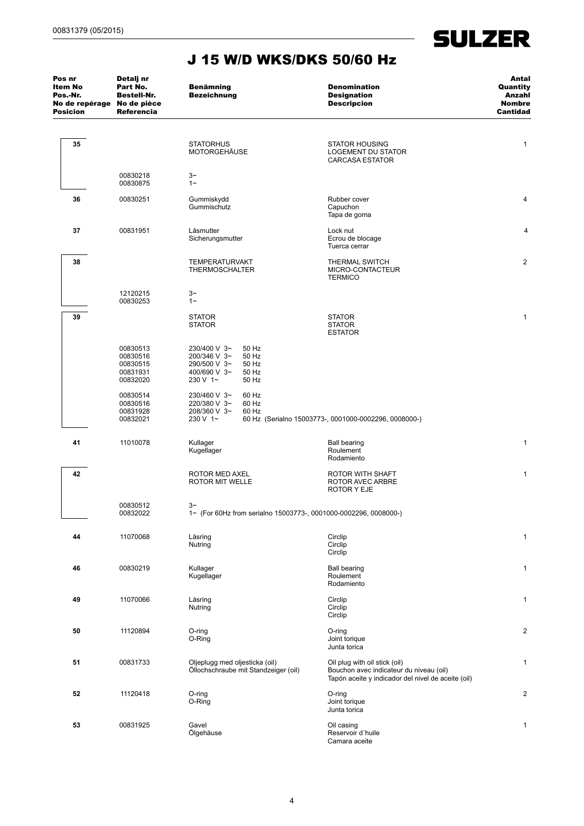| Pos nr<br>Item No<br>Pos.-Nr.<br>No de repérage No de pièce<br><b>Posicion</b> | Detalj nr<br>Part No.<br><b>Bestell-Nr.</b><br>Referencia | <b>Benämning</b><br><b>Bezeichnung</b>                                                                                | <b>Denomination</b><br><b>Designation</b><br><b>Descripcion</b>                                                                | Antal<br>Quantity<br>Anzahl<br><b>Nombre</b><br>Cantidad |
|--------------------------------------------------------------------------------|-----------------------------------------------------------|-----------------------------------------------------------------------------------------------------------------------|--------------------------------------------------------------------------------------------------------------------------------|----------------------------------------------------------|
| 35                                                                             |                                                           | <b>STATORHUS</b><br>MOTORGEHÄUSE                                                                                      | <b>STATOR HOUSING</b><br>LOGEMENT DU STATOR<br><b>CARCASA ESTATOR</b>                                                          | 1                                                        |
|                                                                                | 00830218<br>00830875                                      | $3-$<br>$1 -$                                                                                                         |                                                                                                                                |                                                          |
| 36                                                                             | 00830251                                                  | Gummiskydd<br>Gummischutz                                                                                             | Rubber cover<br>Capuchon<br>Tapa de goma                                                                                       | 4                                                        |
| 37                                                                             | 00831951                                                  | Låsmutter<br>Sicherungsmutter                                                                                         | Lock nut<br>Ecrou de blocage<br>Tuerca cerrar                                                                                  | 4                                                        |
| 38                                                                             |                                                           | <b>TEMPERATURVAKT</b><br><b>THERMOSCHALTER</b>                                                                        | <b>THERMAL SWITCH</b><br>MICRO-CONTACTEUR<br><b>TERMICO</b>                                                                    | $\overline{c}$                                           |
|                                                                                | 12120215<br>00830253                                      | $3-$<br>$1 -$                                                                                                         |                                                                                                                                |                                                          |
| 39                                                                             |                                                           | <b>STATOR</b><br><b>STATOR</b>                                                                                        | <b>STATOR</b><br><b>STATOR</b><br><b>ESTATOR</b>                                                                               | 1                                                        |
|                                                                                | 00830513<br>00830516<br>00830515<br>00831931<br>00832020  | 230/400 V 3~<br>50 Hz<br>200/346 V 3~<br>50 Hz<br>50 Hz<br>290/500 V 3~<br>400/690 V 3~<br>50 Hz<br>230 V 1~<br>50 Hz |                                                                                                                                |                                                          |
|                                                                                | 00830514<br>00830516<br>00831928<br>00832021              | 230/460 V 3~<br>60 Hz<br>60 Hz<br>220/380 V 3~<br>208/360 V 3~<br>60 Hz<br>230 V 1~                                   | 60 Hz (Serialno 15003773-, 0001000-0002296, 0008000-)                                                                          |                                                          |
| 41                                                                             | 11010078                                                  | Kullager<br>Kugellager                                                                                                | <b>Ball bearing</b><br>Roulement<br>Rodamiento                                                                                 | 1                                                        |
| 42                                                                             |                                                           | ROTOR MED AXEL<br>ROTOR MIT WELLE                                                                                     | ROTOR WITH SHAFT<br>ROTOR AVEC ARBRE<br><b>ROTOR Y EJE</b>                                                                     | 1                                                        |
|                                                                                | 00830512<br>00832022                                      | $3-$<br>1~ (For 60Hz from serialno 15003773-, 0001000-0002296, 0008000-)                                              |                                                                                                                                |                                                          |
| 44                                                                             | 11070068                                                  | Låsring<br>Nutring                                                                                                    | Circlip<br>Circlip<br>Circlip                                                                                                  | 1                                                        |
| 46                                                                             | 00830219                                                  | Kullager<br>Kugellager                                                                                                | <b>Ball bearing</b><br>Roulement<br>Rodamiento                                                                                 | 1                                                        |
| 49                                                                             | 11070066                                                  | Låsring<br>Nutring                                                                                                    | Circlip<br>Circlip<br>Circlip                                                                                                  | 1                                                        |
| 50                                                                             | 11120894                                                  | O-ring<br>O-Ring                                                                                                      | O-ring<br>Joint torique<br>Junta torica                                                                                        | $\overline{c}$                                           |
| 51                                                                             | 00831733                                                  | Oljeplugg med oljesticka (oil)<br>Öllochschraube mit Standzeiger (oil)                                                | Oil plug with oil stick (oil)<br>Bouchon avec indicateur du niveau (oil)<br>Tapón aceite y indicador del nivel de aceite (oil) | 1                                                        |
| 52                                                                             | 11120418                                                  | O-ring<br>O-Ring                                                                                                      | O-ring<br>Joint torique<br>Junta torica                                                                                        | $\overline{2}$                                           |
| 53                                                                             | 00831925                                                  | Gavel<br>Ölgehäuse                                                                                                    | Oil casing<br>Reservoir d'huile<br>Camara aceite                                                                               | 1                                                        |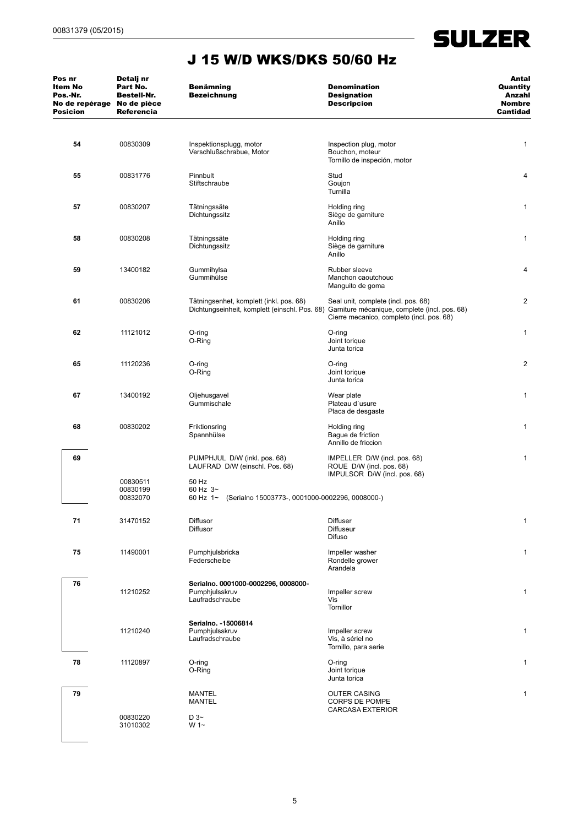$\overline{\phantom{a}}$ 

| Pos nr<br>Item No<br>Pos.-Nr.<br>No de repérage No de pièce<br><b>Posicion</b> | Detalj nr<br>Part No.<br>Bestell-Nr.<br><b>Referencia</b> | <b>Benämning</b><br><b>Bezeichnung</b>                                                | <b>Denomination</b><br><b>Designation</b><br><b>Descripcion</b>                                                                                                                 | Antal<br>Quantity<br>Anzahl<br><b>Nombre</b><br><b>Cantidad</b> |
|--------------------------------------------------------------------------------|-----------------------------------------------------------|---------------------------------------------------------------------------------------|---------------------------------------------------------------------------------------------------------------------------------------------------------------------------------|-----------------------------------------------------------------|
| 54                                                                             | 00830309                                                  | Inspektionsplugg, motor<br>Verschlußschrabue, Motor                                   | Inspection plug, motor<br>Bouchon, moteur<br>Tornillo de inspeción, motor                                                                                                       | 1                                                               |
| 55                                                                             | 00831776                                                  | Pinnbult<br>Stiftschraube                                                             | Stud<br>Goujon<br>Turnilla                                                                                                                                                      | 4                                                               |
| 57                                                                             | 00830207                                                  | Tätningssäte<br>Dichtungssitz                                                         | Holding ring<br>Siège de garniture<br>Anillo                                                                                                                                    | $\mathbf{1}$                                                    |
| 58                                                                             | 00830208                                                  | Tätningssäte<br>Dichtungssitz                                                         | Holding ring<br>Siège de garniture<br>Anillo                                                                                                                                    | $\mathbf{1}$                                                    |
| 59                                                                             | 13400182                                                  | Gummihylsa<br>Gummihülse                                                              | Rubber sleeve<br>Manchon caoutchouc<br>Manguito de goma                                                                                                                         | 4                                                               |
| 61                                                                             | 00830206                                                  | Tätningsenhet, komplett (inkl. pos. 68)                                               | Seal unit, complete (incl. pos. 68)<br>Dichtungseinheit, komplett (einschl. Pos. 68) Garniture mécanique, complete (incl. pos. 68)<br>Cierre mecanico, completo (incl. pos. 68) | $\overline{2}$                                                  |
| 62                                                                             | 11121012                                                  | O-ring<br>O-Ring                                                                      | O-ring<br>Joint torique<br>Junta torica                                                                                                                                         | $\mathbf{1}$                                                    |
| 65                                                                             | 11120236                                                  | O-ring<br>O-Ring                                                                      | O-ring<br>Joint torique<br>Junta torica                                                                                                                                         | $\overline{2}$                                                  |
| 67                                                                             | 13400192                                                  | Oljehusgavel<br>Gummischale                                                           | Wear plate<br>Plateau d'usure<br>Placa de desgaste                                                                                                                              | $\mathbf{1}$                                                    |
| 68                                                                             | 00830202                                                  | Friktionsring<br>Spannhülse                                                           | Holding ring<br>Bague de friction<br>Annillo de friccion                                                                                                                        | $\mathbf{1}$                                                    |
| 69                                                                             |                                                           | PUMPHJUL D/W (inkl. pos. 68)<br>LAUFRAD D/W (einschl. Pos. 68)                        | IMPELLER D/W (incl. pos. 68)<br>ROUE D/W (incl. pos. 68)<br>IMPULSOR D/W (incl. pos. 68)                                                                                        | $\mathbf{1}$                                                    |
|                                                                                | 00830511<br>00830199<br>00832070                          | 50 Hz<br>60 Hz $3-$<br>(Serialno 15003773-, 0001000-0002296, 0008000-)<br>60 Hz $1 -$ |                                                                                                                                                                                 |                                                                 |
| 71                                                                             | 31470152                                                  | Diffusor<br>Diffusor                                                                  | Diffuser<br>Diffuseur<br>Difuso                                                                                                                                                 | $\mathbf{1}$                                                    |
| 75                                                                             | 11490001                                                  | Pumphjulsbricka<br>Federscheibe                                                       | Impeller washer<br>Rondelle grower<br>Arandela                                                                                                                                  | 1                                                               |
| 76                                                                             | 11210252                                                  | Serialno. 0001000-0002296, 0008000-<br>Pumphjulsskruv<br>Laufradschraube              | Impeller screw<br>Vis<br>Tornillor                                                                                                                                              | $\mathbf{1}$                                                    |
|                                                                                | 11210240                                                  | Serialno. - 15006814<br>Pumphjulsskruv<br>Laufradschraube                             | Impeller screw<br>Vis, à sériel no<br>Tornillo, para serie                                                                                                                      | $\mathbf{1}$                                                    |
| 78                                                                             | 11120897                                                  | O-ring<br>O-Ring                                                                      | O-ring<br>Joint torique<br>Junta torica                                                                                                                                         | 1                                                               |
| 79                                                                             | 00830220                                                  | <b>MANTEL</b><br><b>MANTEL</b><br>D3~                                                 | <b>OUTER CASING</b><br>CORPS DE POMPE<br><b>CARCASA EXTERIOR</b>                                                                                                                | 1                                                               |
|                                                                                | 31010302                                                  | $W 1 -$                                                                               |                                                                                                                                                                                 |                                                                 |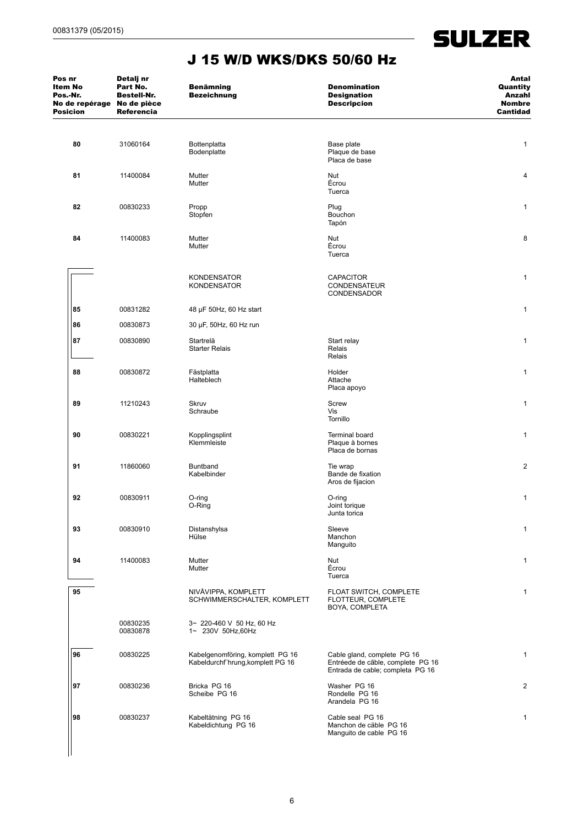| Pos nr<br>Item No<br>Pos.-Nr.<br>No de repérage No de pièce<br><b>Posicion</b> | Detalj nr<br>Part No.<br><b>Bestell-Nr.</b><br><b>Referencia</b> | <b>Benämning</b><br><b>Bezeichnung</b>                                | <b>Denomination</b><br><b>Designation</b><br><b>Descripcion</b>                                      | Antal<br>Quantity<br>Anzahl<br><b>Nombre</b><br><b>Cantidad</b> |
|--------------------------------------------------------------------------------|------------------------------------------------------------------|-----------------------------------------------------------------------|------------------------------------------------------------------------------------------------------|-----------------------------------------------------------------|
| 80                                                                             | 31060164                                                         | Bottenplatta<br>Bodenplatte                                           | Base plate<br>Plaque de base<br>Placa de base                                                        | $\mathbf{1}$                                                    |
| 81                                                                             | 11400084                                                         | Mutter<br>Mutter                                                      | Nut<br>Écrou<br>Tuerca                                                                               | 4                                                               |
| 82                                                                             | 00830233                                                         | Propp<br>Stopfen                                                      | Plug<br><b>Bouchon</b><br>Tapón                                                                      | $\mathbf{1}$                                                    |
| 84                                                                             | 11400083                                                         | Mutter<br>Mutter                                                      | Nut<br>Écrou<br>Tuerca                                                                               | 8                                                               |
|                                                                                |                                                                  | <b>KONDENSATOR</b><br><b>KONDENSATOR</b>                              | <b>CAPACITOR</b><br><b>CONDENSATEUR</b><br><b>CONDENSADOR</b>                                        | 1                                                               |
| 85                                                                             | 00831282                                                         | 48 µF 50Hz, 60 Hz start                                               |                                                                                                      | $\mathbf{1}$                                                    |
| 86                                                                             | 00830873                                                         | 30 µF, 50Hz, 60 Hz run                                                |                                                                                                      |                                                                 |
| 87                                                                             | 00830890                                                         | Startrelä<br><b>Starter Relais</b>                                    | Start relay<br>Relais<br>Relais                                                                      | $\mathbf{1}$                                                    |
| 88                                                                             | 00830872                                                         | Fästplatta<br>Halteblech                                              | Holder<br>Attache<br>Placa apoyo                                                                     | $\mathbf{1}$                                                    |
| 89                                                                             | 11210243                                                         | <b>Skruv</b><br>Schraube                                              | Screw<br>Vis<br>Tornillo                                                                             | $\mathbf{1}$                                                    |
| 90                                                                             | 00830221                                                         | Kopplingsplint<br>Klemmleiste                                         | <b>Terminal board</b><br>Plaque à bornes<br>Placa de bornas                                          | $\mathbf{1}$                                                    |
| 91                                                                             | 11860060                                                         | Buntband<br>Kabelbinder                                               | Tie wrap<br>Bande de fixation<br>Aros de fijacion                                                    | 2                                                               |
| 92                                                                             | 00830911                                                         | O-ring<br>O-Ring                                                      | O-ring<br>Joint torique<br>Junta torica                                                              | 1                                                               |
| 93                                                                             | 00830910                                                         | Distanshylsa<br>Hülse                                                 | Sleeve<br>Manchon<br>Manguito                                                                        | $\mathbf{1}$                                                    |
| 94                                                                             | 11400083                                                         | Mutter<br>Mutter                                                      | Nut<br>Écrou<br>Tuerca                                                                               | $\mathbf{1}$                                                    |
| 95                                                                             |                                                                  | NIVÅVIPPA, KOMPLETT<br>SCHWIMMERSCHALTER, KOMPLETT                    | FLOAT SWITCH, COMPLETE<br>FLOTTEUR, COMPLETE<br>BOYA, COMPLETA                                       | $\mathbf{1}$                                                    |
|                                                                                | 00830235<br>00830878                                             | 3~ 220-460 V 50 Hz, 60 Hz<br>1~ 230V 50Hz,60Hz                        |                                                                                                      |                                                                 |
| 96                                                                             | 00830225                                                         | Kabelgenomföring, komplett PG 16<br>Kabeldurchf hrung, komplett PG 16 | Cable gland, complete PG 16<br>Entréede de cãble, complete PG 16<br>Entrada de cable; completa PG 16 | $\mathbf{1}$                                                    |
| 97                                                                             | 00830236                                                         | Bricka PG 16<br>Scheibe PG 16                                         | Washer PG 16<br>Rondelle PG 16<br>Arandela PG 16                                                     | $\overline{c}$                                                  |
| 98                                                                             | 00830237                                                         | Kabeltätning PG 16<br>Kabeldichtung PG 16                             | Cable seal PG 16<br>Manchon de cäble PG 16<br>Manguito de cable PG 16                                | $\mathbf{1}$                                                    |